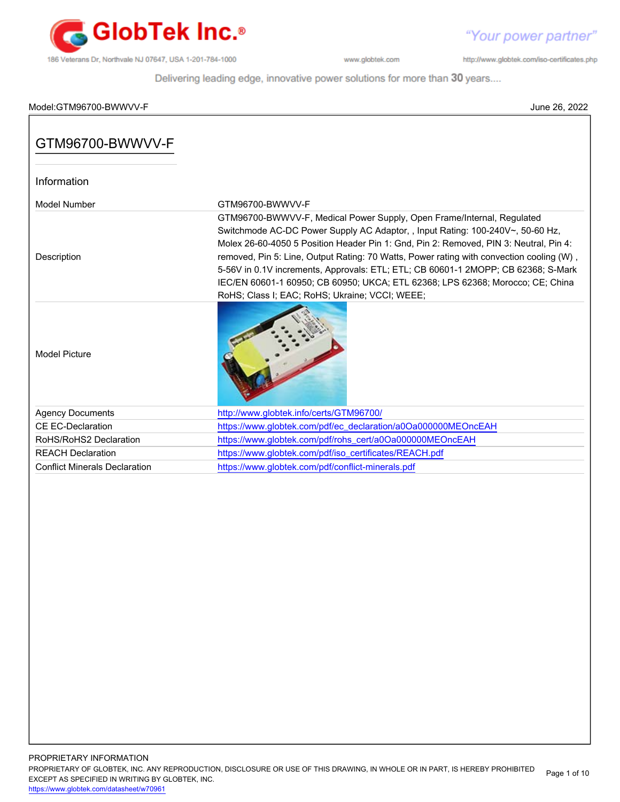

"Your power partner"

http://www.globtek.com/iso-certificates.php

Delivering leading edge, innovative power solutions for more than 30 years....

### Model:GTM96700-BWWVV-F June 26, 2022

| GTM96700-BWWVV-F                     |                                                                                                                                                                                                                                                                                                                                                                                                                                                                                                                                                                        |
|--------------------------------------|------------------------------------------------------------------------------------------------------------------------------------------------------------------------------------------------------------------------------------------------------------------------------------------------------------------------------------------------------------------------------------------------------------------------------------------------------------------------------------------------------------------------------------------------------------------------|
| Information                          |                                                                                                                                                                                                                                                                                                                                                                                                                                                                                                                                                                        |
| Model Number                         | GTM96700-BWWVV-F                                                                                                                                                                                                                                                                                                                                                                                                                                                                                                                                                       |
| Description                          | GTM96700-BWWVV-F, Medical Power Supply, Open Frame/Internal, Regulated<br>Switchmode AC-DC Power Supply AC Adaptor, , Input Rating: 100-240V~, 50-60 Hz,<br>Molex 26-60-4050 5 Position Header Pin 1: Gnd, Pin 2: Removed, PIN 3: Neutral, Pin 4:<br>removed, Pin 5: Line, Output Rating: 70 Watts, Power rating with convection cooling (W),<br>5-56V in 0.1V increments, Approvals: ETL; ETL; CB 60601-1 2MOPP; CB 62368; S-Mark<br>IEC/EN 60601-1 60950; CB 60950; UKCA; ETL 62368; LPS 62368; Morocco; CE; China<br>RoHS; Class I; EAC; RoHS; Ukraine; VCCI; WEEE; |
| <b>Model Picture</b>                 |                                                                                                                                                                                                                                                                                                                                                                                                                                                                                                                                                                        |
| <b>Agency Documents</b>              | http://www.globtek.info/certs/GTM96700/                                                                                                                                                                                                                                                                                                                                                                                                                                                                                                                                |
| CE EC-Declaration                    | https://www.globtek.com/pdf/ec_declaration/a0Oa000000MEOncEAH                                                                                                                                                                                                                                                                                                                                                                                                                                                                                                          |
| RoHS/RoHS2 Declaration               | https://www.globtek.com/pdf/rohs_cert/a0Oa000000MEOncEAH                                                                                                                                                                                                                                                                                                                                                                                                                                                                                                               |
| <b>REACH Declaration</b>             | https://www.globtek.com/pdf/iso_certificates/REACH.pdf                                                                                                                                                                                                                                                                                                                                                                                                                                                                                                                 |
| <b>Conflict Minerals Declaration</b> | https://www.globtek.com/pdf/conflict-minerals.pdf                                                                                                                                                                                                                                                                                                                                                                                                                                                                                                                      |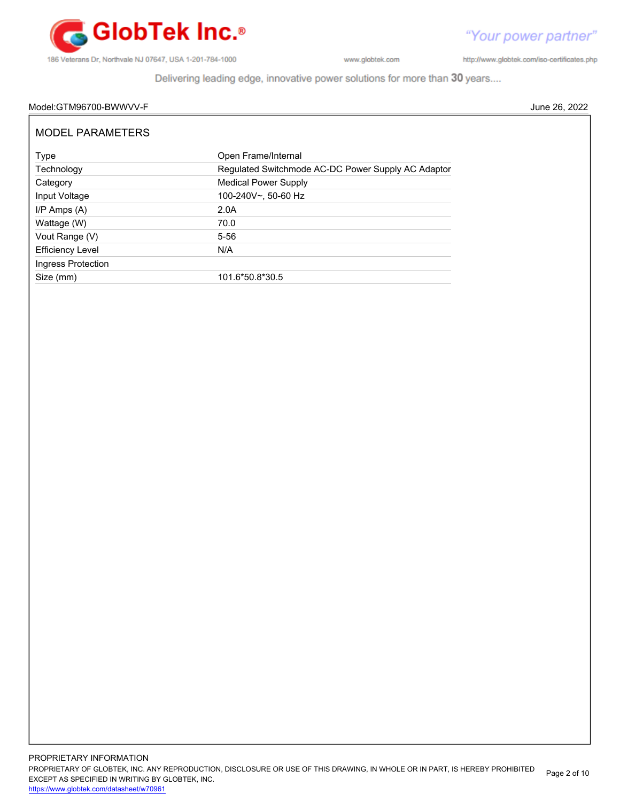

"Your power partner" http://www.globtek.com/iso-certificates.php

Delivering leading edge, innovative power solutions for more than 30 years....

### Model:GTM96700-BWWVV-F June 26, 2022

| <b>MODEL PARAMETERS</b> |                                                    |
|-------------------------|----------------------------------------------------|
| Type                    | Open Frame/Internal                                |
| Technology              | Regulated Switchmode AC-DC Power Supply AC Adaptor |
| Category                | <b>Medical Power Supply</b>                        |
| Input Voltage           | 100-240V~, 50-60 Hz                                |
| $I/P$ Amps $(A)$        | 2.0A                                               |
| Wattage (W)             | 70.0                                               |
| Vout Range (V)          | $5 - 56$                                           |
| <b>Efficiency Level</b> | N/A                                                |
| Ingress Protection      |                                                    |
| Size (mm)               | 101.6*50.8*30.5                                    |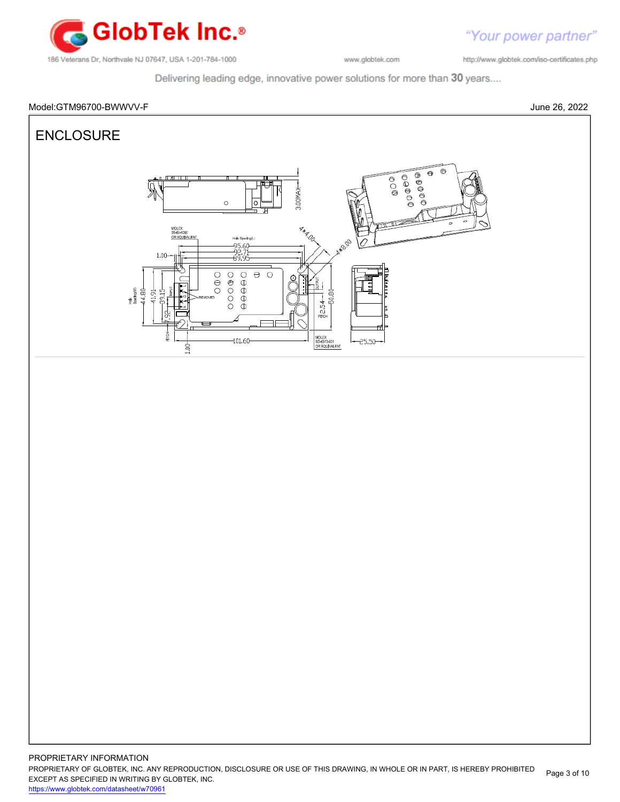

http://www.globtek.com/iso-certificates.php

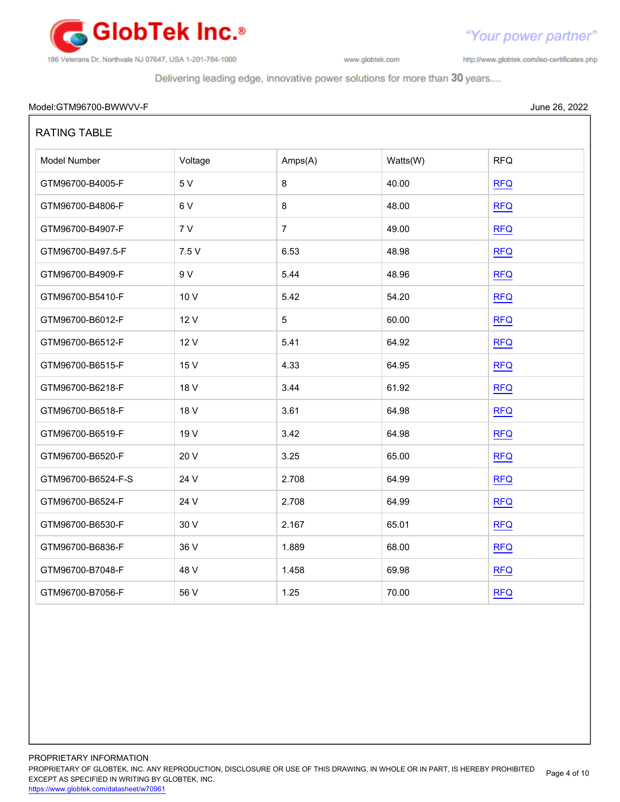

http://www.globtek.com/iso-certificates.php

"Your power partner"

| Model:<br>' <sup>.</sup> GTM96700-BWWVV-F | anno<br>June '<br>$\lambda$<br>$\sim$ u $\sim$<br>. |
|-------------------------------------------|-----------------------------------------------------|
|                                           |                                                     |

| <b>RATING TABLE</b> |         |                |          |            |
|---------------------|---------|----------------|----------|------------|
| Model Number        | Voltage | Amps(A)        | Watts(W) | <b>RFQ</b> |
| GTM96700-B4005-F    | 5 V     | 8              | 40.00    | <b>RFQ</b> |
| GTM96700-B4806-F    | 6V      | 8              | 48.00    | <b>RFQ</b> |
| GTM96700-B4907-F    | 7V      | $\overline{7}$ | 49.00    | <b>RFQ</b> |
| GTM96700-B497.5-F   | 7.5 V   | 6.53           | 48.98    | <b>RFQ</b> |
| GTM96700-B4909-F    | 9 V     | 5.44           | 48.96    | <b>RFQ</b> |
| GTM96700-B5410-F    | 10 V    | 5.42           | 54.20    | <b>RFQ</b> |
| GTM96700-B6012-F    | 12 V    | 5              | 60.00    | <b>RFQ</b> |
| GTM96700-B6512-F    | 12 V    | 5.41           | 64.92    | <b>RFQ</b> |
| GTM96700-B6515-F    | 15 V    | 4.33           | 64.95    | <b>RFQ</b> |
| GTM96700-B6218-F    | 18 V    | 3.44           | 61.92    | <b>RFQ</b> |
| GTM96700-B6518-F    | 18 V    | 3.61           | 64.98    | <b>RFQ</b> |
| GTM96700-B6519-F    | 19 V    | 3.42           | 64.98    | <b>RFQ</b> |
| GTM96700-B6520-F    | 20 V    | 3.25           | 65.00    | <b>RFQ</b> |
| GTM96700-B6524-F-S  | 24 V    | 2.708          | 64.99    | <b>RFQ</b> |
| GTM96700-B6524-F    | 24 V    | 2.708          | 64.99    | <b>RFQ</b> |
| GTM96700-B6530-F    | 30 V    | 2.167          | 65.01    | <b>RFQ</b> |
| GTM96700-B6836-F    | 36 V    | 1.889          | 68.00    | <b>RFQ</b> |
| GTM96700-B7048-F    | 48 V    | 1.458          | 69.98    | RFA        |
| GTM96700-B7056-F    | 56 V    | 1.25           | 70.00    | <b>RFQ</b> |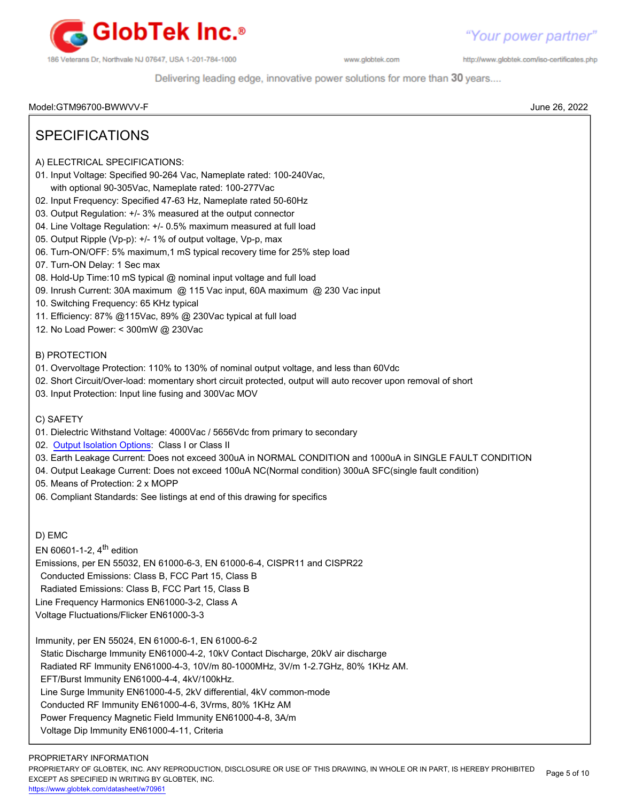

http://www.globtek.com/iso-certificates.php

Delivering leading edge, innovative power solutions for more than 30 years....

Model:GTM96700-BWWVV-F June 26, 2022

# SPECIFICATIONS

- A) ELECTRICAL SPECIFICATIONS:
- 01. Input Voltage: Specified 90-264 Vac, Nameplate rated: 100-240Vac, with optional 90-305Vac, Nameplate rated: 100-277Vac
- 02. Input Frequency: Specified 47-63 Hz, Nameplate rated 50-60Hz
- 03. Output Regulation: +/- 3% measured at the output connector
- 04. Line Voltage Regulation: +/- 0.5% maximum measured at full load
- 05. Output Ripple (Vp-p): +/- 1% of output voltage, Vp-p, max
- 06. Turn-ON/OFF: 5% maximum,1 mS typical recovery time for 25% step load
- 07. Turn-ON Delay: 1 Sec max
- 08. Hold-Up Time:10 mS typical @ nominal input voltage and full load
- 09. Inrush Current: 30A maximum @ 115 Vac input, 60A maximum @ 230 Vac input
- 10. Switching Frequency: 65 KHz typical
- 11. Efficiency: 87% @115Vac, 89% @ 230Vac typical at full load
- 12. No Load Power: < 300mW @ 230Vac

### B) PROTECTION

- 01. Overvoltage Protection: 110% to 130% of nominal output voltage, and less than 60Vdc
- 02. Short Circuit/Over-load: momentary short circuit protected, output will auto recover upon removal of short
- 03. Input Protection: Input line fusing and 300Vac MOV

## C) SAFETY

- 01. Dielectric Withstand Voltage: 4000Vac / 5656Vdc from primary to secondary
- 02. [Output Isolation Options](https://en.globtek.com/technical-articles/psu-isolation-and-identity): Class I or Class II
- 03. Earth Leakage Current: Does not exceed 300uA in NORMAL CONDITION and 1000uA in SINGLE FAULT CONDITION
- 04. Output Leakage Current: Does not exceed 100uA NC(Normal condition) 300uA SFC(single fault condition)
- 05. Means of Protection: 2 x MOPP
- 06. Compliant Standards: See listings at end of this drawing for specifics

D) EMC

EN 60601-1-2,  $4^{\text{th}}$  edition

Emissions, per EN 55032, EN 61000-6-3, EN 61000-6-4, CISPR11 and CISPR22

Conducted Emissions: Class B, FCC Part 15, Class B

Radiated Emissions: Class B, FCC Part 15, Class B

Line Frequency Harmonics EN61000-3-2, Class A

Voltage Fluctuations/Flicker EN61000-3-3

Immunity, per EN 55024, EN 61000-6-1, EN 61000-6-2

Static Discharge Immunity EN61000-4-2, 10kV Contact Discharge, 20kV air discharge

Radiated RF Immunity EN61000-4-3, 10V/m 80-1000MHz, 3V/m 1-2.7GHz, 80% 1KHz AM.

EFT/Burst Immunity EN61000-4-4, 4kV/100kHz.

Line Surge Immunity EN61000-4-5, 2kV differential, 4kV common-mode

Conducted RF Immunity EN61000-4-6, 3Vrms, 80% 1KHz AM

Power Frequency Magnetic Field Immunity EN61000-4-8, 3A/m

Voltage Dip Immunity EN61000-4-11, Criteria

PROPRIETARY OF GLOBTEK, INC. ANY REPRODUCTION, DISCLOSURE OR USE OF THIS DRAWING, IN WHOLE OR IN PART, IS HEREBY PROHIBITED EXCEPT AS SPECIFIED IN WRITING BY GLOBTEK, INC. Page 5 of 10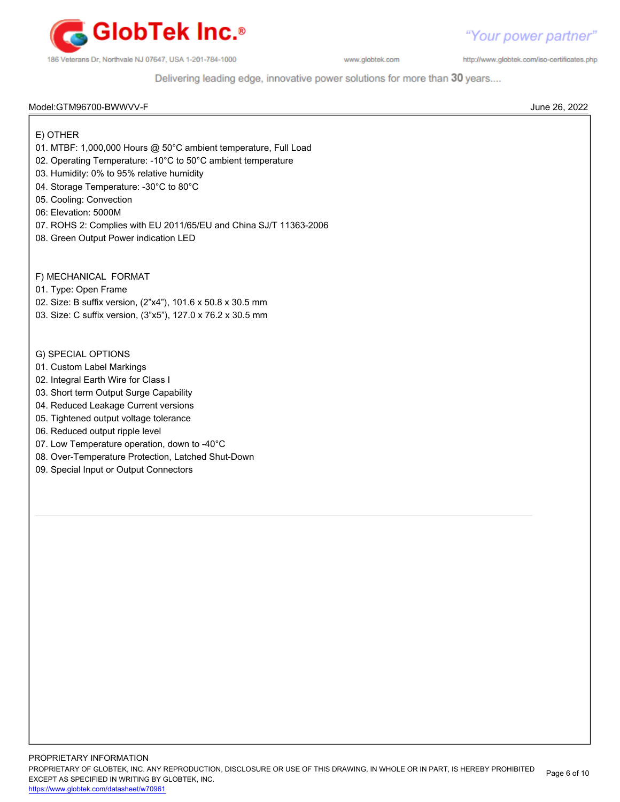

"Your power partner" http://www.globtek.com/iso-certificates.php

Delivering leading edge, innovative power solutions for more than 30 years....

#### Model:GTM96700-BWWVV-F June 26, 2022

E) OTHER

- 01. MTBF: 1,000,000 Hours @ 50°C ambient temperature, Full Load
- 02. Operating Temperature: -10°C to 50°C ambient temperature
- 03. Humidity: 0% to 95% relative humidity
- 04. Storage Temperature: -30°C to 80°C
- 05. Cooling: Convection
- 06: Elevation: 5000M
- 07. ROHS 2: Complies with EU 2011/65/EU and China SJ/T 11363-2006
- 08. Green Output Power indication LED

F) MECHANICAL FORMAT

- 01. Type: Open Frame
- 02. Size: B suffix version, (2"x4"), 101.6 x 50.8 x 30.5 mm
- 03. Size: C suffix version, (3"x5"), 127.0 x 76.2 x 30.5 mm
- G) SPECIAL OPTIONS
- 01. Custom Label Markings
- 02. Integral Earth Wire for Class I
- 03. Short term Output Surge Capability
- 04. Reduced Leakage Current versions
- 05. Tightened output voltage tolerance
- 06. Reduced output ripple level
- 07. Low Temperature operation, down to -40°C
- 08. Over-Temperature Protection, Latched Shut-Down
- 09. Special Input or Output Connectors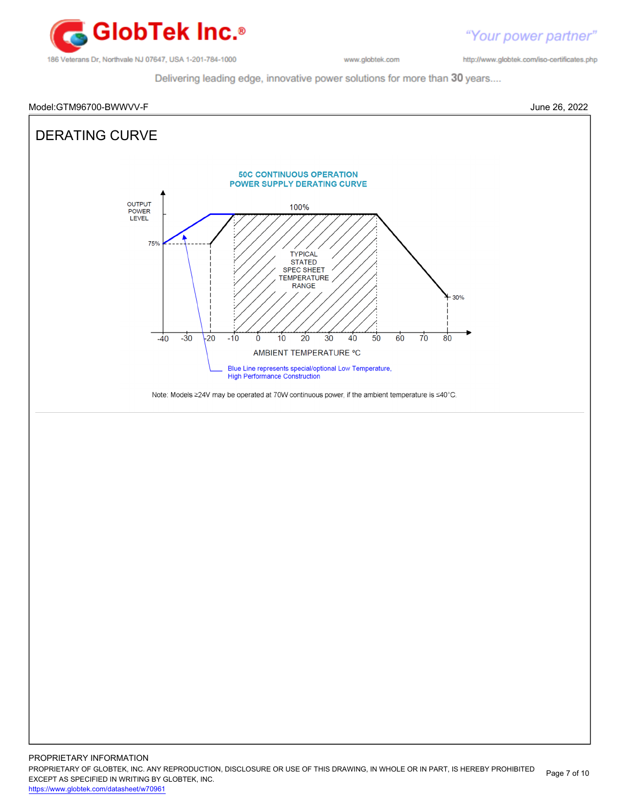

"Your power partner" http://www.globtek.com/iso-certificates.php

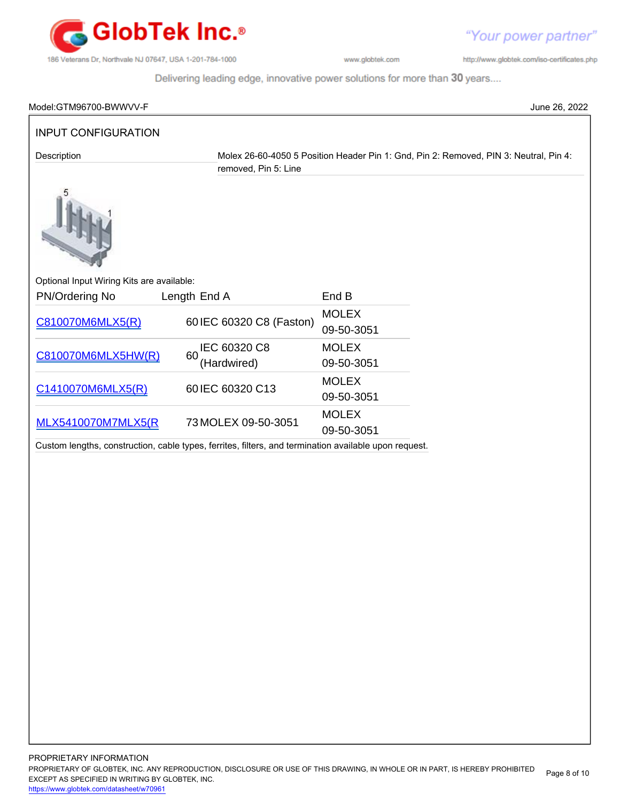

http://www.globtek.com/iso-certificates.php

"Your power partner"

| Model:GTM96700-BWWVV-F                    |                                                                                                       |                            | June 26, 2022                                                                         |
|-------------------------------------------|-------------------------------------------------------------------------------------------------------|----------------------------|---------------------------------------------------------------------------------------|
| <b>INPUT CONFIGURATION</b>                |                                                                                                       |                            |                                                                                       |
| Description                               | removed, Pin 5: Line                                                                                  |                            | Molex 26-60-4050 5 Position Header Pin 1: Gnd, Pin 2: Removed, PIN 3: Neutral, Pin 4: |
|                                           |                                                                                                       |                            |                                                                                       |
| Optional Input Wiring Kits are available: |                                                                                                       |                            |                                                                                       |
| PN/Ordering No                            | Length End A                                                                                          | End B                      |                                                                                       |
| C810070M6MLX5(R)                          | 60 IEC 60320 C8 (Faston)                                                                              | <b>MOLEX</b><br>09-50-3051 |                                                                                       |
| C810070M6MLX5HW(R)                        | IEC 60320 C8<br>60                                                                                    | <b>MOLEX</b>               |                                                                                       |
|                                           | (Hardwired)                                                                                           | 09-50-3051                 |                                                                                       |
| C1410070M6MLX5(R)                         | 60 IEC 60320 C13                                                                                      | <b>MOLEX</b><br>09-50-3051 |                                                                                       |
| <b>MLX5410070M7MLX5(R</b>                 | 73 MOLEX 09-50-3051                                                                                   | <b>MOLEX</b><br>09-50-3051 |                                                                                       |
|                                           | Custom lengths, construction, cable types, ferrites, filters, and termination available upon request. |                            |                                                                                       |
|                                           |                                                                                                       |                            |                                                                                       |
|                                           |                                                                                                       |                            |                                                                                       |
|                                           |                                                                                                       |                            |                                                                                       |
|                                           |                                                                                                       |                            |                                                                                       |
|                                           |                                                                                                       |                            |                                                                                       |
|                                           |                                                                                                       |                            |                                                                                       |
|                                           |                                                                                                       |                            |                                                                                       |
|                                           |                                                                                                       |                            |                                                                                       |
|                                           |                                                                                                       |                            |                                                                                       |
|                                           |                                                                                                       |                            |                                                                                       |
|                                           |                                                                                                       |                            |                                                                                       |
|                                           |                                                                                                       |                            |                                                                                       |
|                                           |                                                                                                       |                            |                                                                                       |
|                                           |                                                                                                       |                            |                                                                                       |
|                                           |                                                                                                       |                            |                                                                                       |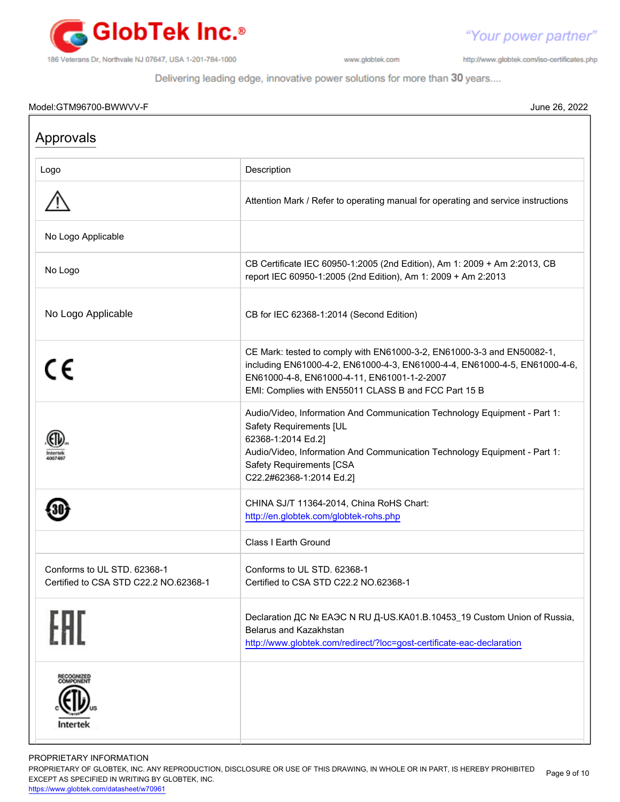

"Your power partner" http://www.globtek.com/iso-certificates.php

Delivering leading edge, innovative power solutions for more than 30 years....

#### Model:GTM96700-BWWVV-F June 26, 2022

| Approvals                                                            |                                                                                                                                                                                                                                                                        |
|----------------------------------------------------------------------|------------------------------------------------------------------------------------------------------------------------------------------------------------------------------------------------------------------------------------------------------------------------|
| Logo                                                                 | Description                                                                                                                                                                                                                                                            |
|                                                                      | Attention Mark / Refer to operating manual for operating and service instructions                                                                                                                                                                                      |
| No Logo Applicable                                                   |                                                                                                                                                                                                                                                                        |
| No Logo                                                              | CB Certificate IEC 60950-1:2005 (2nd Edition), Am 1: 2009 + Am 2:2013, CB<br>report IEC 60950-1:2005 (2nd Edition), Am 1: 2009 + Am 2:2013                                                                                                                             |
| No Logo Applicable                                                   | CB for IEC 62368-1:2014 (Second Edition)                                                                                                                                                                                                                               |
| $c\epsilon$                                                          | CE Mark: tested to comply with EN61000-3-2, EN61000-3-3 and EN50082-1,<br>including EN61000-4-2, EN61000-4-3, EN61000-4-4, EN61000-4-5, EN61000-4-6,<br>EN61000-4-8, EN61000-4-11, EN61001-1-2-2007<br>EMI: Complies with EN55011 CLASS B and FCC Part 15 B            |
| 400749                                                               | Audio/Video, Information And Communication Technology Equipment - Part 1:<br>Safety Requirements [UL<br>62368-1:2014 Ed.2]<br>Audio/Video, Information And Communication Technology Equipment - Part 1:<br><b>Safety Requirements [CSA</b><br>C22.2#62368-1:2014 Ed.2] |
|                                                                      | CHINA SJ/T 11364-2014, China RoHS Chart:<br>http://en.globtek.com/globtek-rohs.php                                                                                                                                                                                     |
|                                                                      | Class I Earth Ground                                                                                                                                                                                                                                                   |
| Conforms to UL STD, 62368-1<br>Certified to CSA STD C22.2 NO.62368-1 | Conforms to UL STD, 62368-1<br>Certified to CSA STD C22.2 NO.62368-1                                                                                                                                                                                                   |
| FAT                                                                  | Declaration ДС № ЕАЭС N RU Д-US.KA01.B.10453_19 Custom Union of Russia,<br>Belarus and Kazakhstan<br>http://www.globtek.com/redirect/?loc=gost-certificate-eac-declaration                                                                                             |
| ECOGNIZED<br>COMPONENT<br>Intertek                                   |                                                                                                                                                                                                                                                                        |

PROPRIETARY INFORMATION

PROPRIETARY OF GLOBTEK, INC. ANY REPRODUCTION, DISCLOSURE OR USE OF THIS DRAWING, IN WHOLE OR IN PART, IS HEREBY PROHIBITED EXCEPT AS SPECIFIED IN WRITING BY GLOBTEK, INC. Page 9 of 10